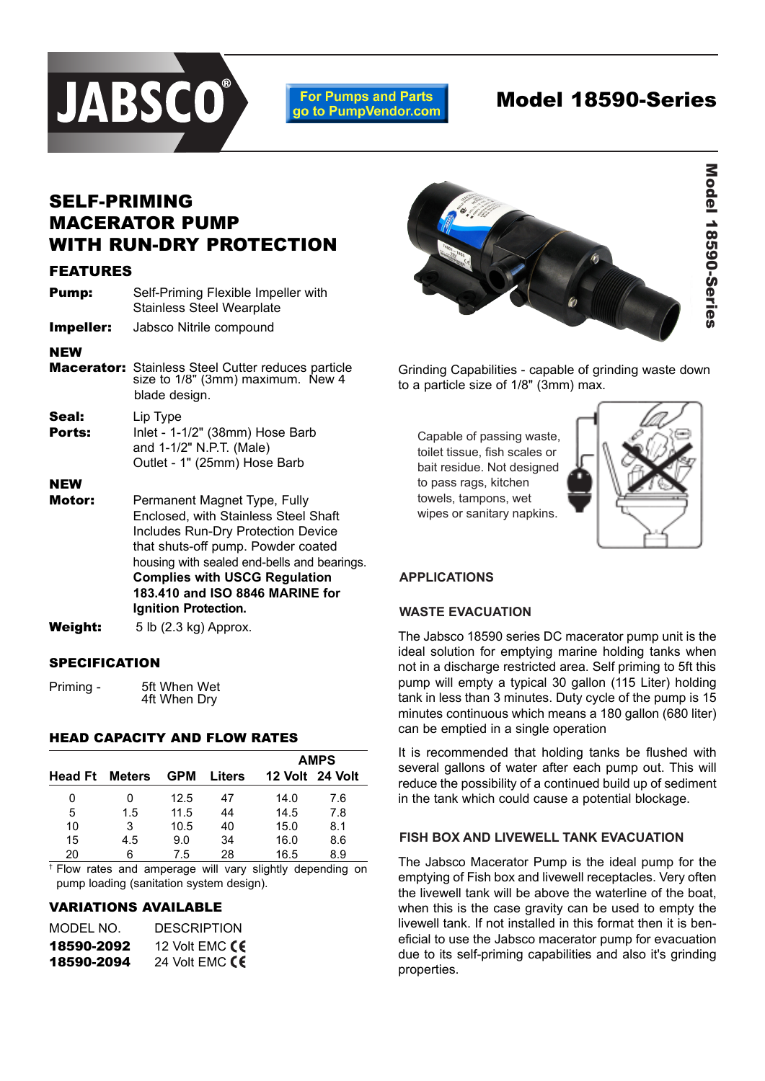

**For Pumps and Parts** go to PumpVendor.com

# Model 18590-Series

# SELF-PRIMING MACERATOR PUMP WITH RUN-DRY PROTECTION

#### FEATURES

| <b>Pump:</b> | Self-Priming Flexible Impeller with |  |  |  |
|--------------|-------------------------------------|--|--|--|
|              | <b>Stainless Steel Wearplate</b>    |  |  |  |

**Impeller:** Jabsco Nitrile compound

#### NEW

- **Macerator:** Stainless Steel Cutter reduces particle size to 1/8" (3mm) maximum. New 4 blade design. Seal: Lip Type **Ports:** Inlet - 1-1/2" (38mm) Hose Barb
- and 1-1/2" N.P.T. (Male) Outlet - 1" (25mm) Hose Barb

## NEW

- **Motor:** Permanent Magnet Type, Fully Enclosed, with Stainless Steel Shaft Includes Run-Dry Protection Device that shuts-off pump. Powder coated housing with sealed end-bells and bearings. **Complies with USCG Regulation 183.410 and ISO 8846 MARINE for Ignition Protection.**
- **Weight:**  $5 lb (2.3 kg)$  Approx.

## **SPECIFICATION**

Priming - 5ft When Wet 4ft When Dry

#### HEAD CAPACITY AND FLOW RATES

|                       |     |            |        | <b>AMPS</b> |                 |  |
|-----------------------|-----|------------|--------|-------------|-----------------|--|
| <b>Head Ft</b> Meters |     | <b>GPM</b> | Liters |             | 12 Volt 24 Volt |  |
| 0                     | 0   | 12.5       | 47     | 14.0        | 7.6             |  |
| 5                     | 1.5 | 11.5       | 44     | 14.5        | 7.8             |  |
| 10                    | 3   | 10.5       | 40     | 15.0        | 8.1             |  |
| 15                    | 4.5 | 9.0        | 34     | 16.0        | 8.6             |  |
| 20                    | 6   | 7.5        | 28     | 16.5        | 8.9             |  |

† Flow rates and amperage will vary slightly depending on pump loading (sanitation system design).

## VARIATIONS AVAILABLE

| MODEL NO.  | <b>DESCRIPTION</b> |
|------------|--------------------|
| 18590-2092 | 12 Volt EMC CE     |
| 18590-2094 | 24 Volt EMC $CE$   |



Grinding Capabilities - capable of grinding waste down to a particle size of 1/8" (3mm) max.

Capable of passing waste, toilet tissue, fish scales or bait residue. Not designed to pass rags, kitchen towels, tampons, wet wipes or sanitary napkins. strength kitchen towels,



# **APPLICATIONS APPLICATIONS**

# **WASTE EVACUATION WASTE EVACUATION**

The Jabsco 18590 series DC macerator pump unit is the ideal solution for emptying marine holding tanks when not in a discharge restricted area. Self priming to 5ft this pump will empty a typical 30 gallon (115 Liter) holding tank in less than 3 minutes. Duty cycle of the pump is 15 minutes continuous which means a 180 gallon (680 liter) can be emptied in a single operation

It is recommended that holding tanks be flushed with several gallons of water after each pump out. This will reduce the possibility of a continued build up of sediment in the tank which could cause a potential blockage.

### **FISH BOX AND LIVEWELL TANK EVACUATION FISH BOX AND LIVEWELL TANK EVACUATION**

The Jabsco Macerator Pump is the ideal pump for the emptying of Fish box and livewell receptacles. Very often the livewell tank will be above the waterline of the boat, when this is the case gravity can be used to empty the livewell tank. If not installed in this format then it is beneficial to use the Jabsco macerator pump for evacuation due to its self-priming capabilities and also it's grinding properties.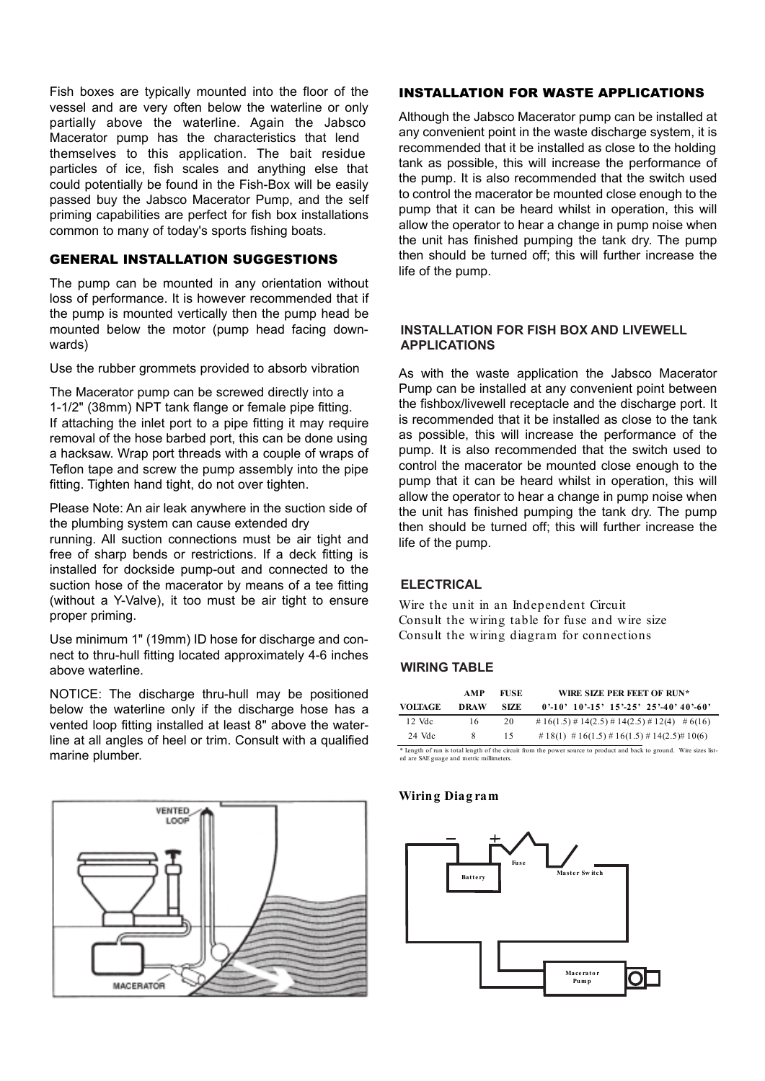Fish boxes are typically mounted into the floor of the vessel and are very often below the waterline or only partially above the waterline. Again the Jabsco Macerator pump has the characteristics that lend themselves to this application. The bait residue particles of ice, fish scales and anything else that could potentially be found in the Fish-Box will be easily passed buy the Jabsco Macerator Pump, and the self priming capabilities are perfect for fish box installations common to many of today's sports fishing boats.

#### GENERAL INSTALLATION SUGGESTIONS

The pump can be mounted in any orientation without loss of performance. It is however recommended that if the pump is mounted vertically then the pump head be mounted below the motor (pump head facing downwards)

Use the rubber grommets provided to absorb vibration

The Macerator pump can be screwed directly into a 1-1/2" (38mm) NPT tank flange or female pipe fitting. If attaching the inlet port to a pipe fitting it may require removal of the hose barbed port, this can be done using a hacksaw. Wrap port threads with a couple of wraps of Teflon tape and screw the pump assembly into the pipe fitting. Tighten hand tight, do not over tighten.

Please Note: An air leak anywhere in the suction side of the plumbing system can cause extended dry running. All suction connections must be air tight and free of sharp bends or restrictions. If a deck fitting is installed for dockside pump-out and connected to the suction hose of the macerator by means of a tee fitting (without a Y-Valve), it too must be air tight to ensure proper priming.

Use minimum 1" (19mm) ID hose for discharge and connect to thru-hull fitting located approximately 4-6 inches above waterline.

NOTICE: The discharge thru-hull may be positioned below the waterline only if the discharge hose has a vented loop fitting installed at least 8" above the waterline at all angles of heel or trim. Consult with a qualified marine plumber.



#### INSTALLATION FOR WASTE APPLICATIONS

Although the Jabsco Macerator pump can be installed at any convenient point in the waste discharge system, it is recommended that it be installed as close to the holding tank as possible, this will increase the performance of the pump. It is also recommended that the switch used to control the macerator be mounted close enough to the pump that it can be heard whilst in operation, this will allow the operator to hear a change in pump noise when the unit has finished pumping the tank dry. The pump then should be turned off; this will further increase the life of the pump.

#### **INSTALLATION FOR FISH BOX AND LIVEWELL INSTALLATION FOR FISH BOX AND LIVEWELL APPLICATIONS APPLICATIONS**

As with the waste application the Jabsco Macerator Pump can be installed at any convenient point between the fishbox/livewell receptacle and the discharge port. It is recommended that it be installed as close to the tank as possible, this will increase the performance of the pump. It is also recommended that the switch used to control the macerator be mounted close enough to the pump that it can be heard whilst in operation, this will allow the operator to hear a change in pump noise when the unit has finished pumping the tank dry. The pump then should be turned off; this will further increase the life of the pump.

# **ELECTRICAL ELECTRICAL**

Wire the unit in an Independent Circuit Consult the wiring table for fuse and wire size Consult the wiring diagram for connections

# **WIRING TABLE WIRING TABLE**

| <b>VOLTAGE</b> | AMP<br>DRAW | FUSE.<br>SIZE. | WIRE SIZE PER FEET OF RUN*<br>$0.10$ , $10.15$ , $15.25$ , $25.40$ , $40.60$ |
|----------------|-------------|----------------|------------------------------------------------------------------------------|
| $12$ Vdc       | 16          | 20             | # $16(1.5)$ # $14(2.5)$ # $14(2.5)$ # $12(4)$ # $6(16)$                      |
| 24 Vdc         | x           | 15.            | # 18(1) # 16(1.5) # 16(1.5) # 14(2.5)# 10(6)                                 |

\* Length of run is total length of the circuit from the power source to product and back to ground. Wire sizes listed are SAE guage and metric millimeters.

#### **Wiring Diag ram**

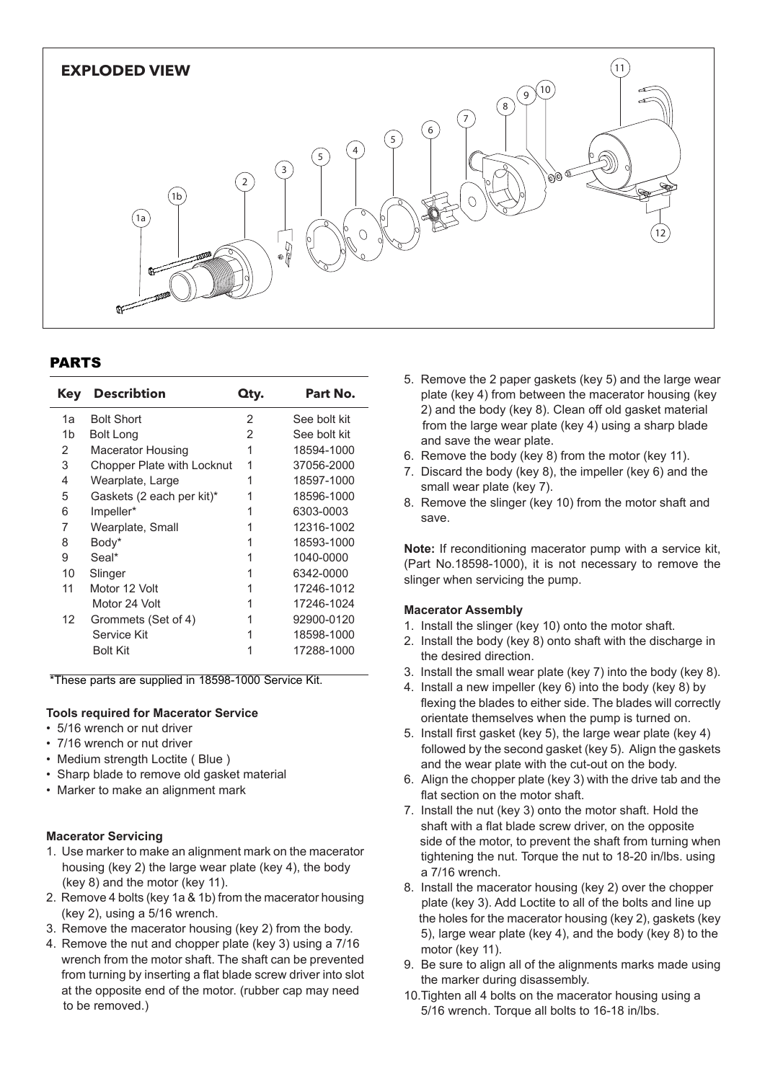

## PARTS

| Kev | <b>Describtion</b>         | Qty. | Part No.     |
|-----|----------------------------|------|--------------|
| 1a  | <b>Bolt Short</b>          | 2    | See bolt kit |
| 1b  | <b>Bolt Long</b>           | 2    | See bolt kit |
| 2   | <b>Macerator Housing</b>   | 1    | 18594-1000   |
| 3   | Chopper Plate with Locknut | 1    | 37056-2000   |
| 4   | Wearplate, Large           |      | 18597-1000   |
| 5   | Gaskets (2 each per kit)*  |      | 18596-1000   |
| 6   | Impeller*                  |      | 6303-0003    |
| 7   | Wearplate, Small           |      | 12316-1002   |
| 8   | Body*                      |      | 18593-1000   |
| 9   | Seal*                      |      | 1040-0000    |
| 10  | Slinger                    |      | 6342-0000    |
| 11  | Motor 12 Volt              |      | 17246-1012   |
|     | Motor 24 Volt              |      | 17246-1024   |
| 12  | Grommets (Set of 4)        |      | 92900-0120   |
|     | Service Kit                |      | 18598-1000   |
|     | <b>Bolt Kit</b>            |      | 17288-1000   |

\*These parts are supplied in 18598-1000 Service Kit.

#### **Tools required for Macerator Service**

- **5/16 wrench or nut driver**
- 7/16 wrench or nut driver
- Medium strength Loctite ( Blue )
- Sharp blade to remove old gasket material
- Marker to make an alignment mark

#### studs. Insert a thin bladed 9/32" (7mm) ignition wrench behind the **Macerator Servicing**

- received between  $\frac{1}{2}$  and  $\frac{1}{2}$  and  $\frac{1}{2}$  and  $\frac{1}{2}$  shaft to prevent to prevent to prevent to prevent to prevent to prevent to prevent to prevent to prevent to prevent to prevent to prevent to prevent to p 1. Use marker to make an alignment mark on the macerator housing (key 2) the large wear plate (key 4), the body  $(\mathcal{N}\mathcal{O})$  and the motor  $(\mathcal{N}\mathcal{O})$  from the prevention turning from the prevention of  $\mathcal{O}$ (key 8) and the motor (key 11).
- 2. Remove 4 bolts (key 1a & 1b) from the macerator housing  $f(\text{key 2})$ , using a 5/16 wrench.
- 3. Remove the macerator housing (key 2) from the body.
- 4. Remove the nut and chopper plate (key 3) using a 7/16 wrench from the motor shaft. The shaft can be prevented from turning by inserting a flat blade screw driver into slot at the opposite end of the motor. (rubber cap may need to be removed.)
- 5. Remove the 2 paper gaskets (key 5) and the large wear place ( $N_y$  +) noth between the material nodsing ( $N_y$ ) and the body (key 8). Clean off old gasket material  $2)$  and the body (Key 0). Olean bir old gasKet material from the large wear plate (key 4) using a sharp blade plate (key 4) from between the macerator housing (key and save the wear plate.
- and save the wear plate.<br>6. Remove the body (key 8) from the motor (key 11).
- For Nembre the body (key 8), then the motor (key 11).<br>7. Discard the body (key 8), the impeller (key 6) and the small wear plate (key 7).
- 8. Remove the slinger (key 10) from the motor shaft and body with the lip pointing the impeller bore. Press,  $\mathbf{p}_i$  is the impeller bore. Press,  $\mathbf{p}_i$ save.

the starlock washer into the seal bore with the concave Note: If reconditioning macerator pump with a service kit, (Part No.18598-1000), it is not necessary to remove the slinger when servicing the pump.

#### screw two longer studs into the tapped holes in the  $Maccerator$   $ASsemoly$ **Macerator Assembly**

- 1. Install the slinger (key 10) onto the motor shaft.
- 2. Install the body (key 8) onto shaft with the discharge in the desired direction. the desired direction.
- 3. Install the small wear plate (key 7) into the body (key 8).
- 4. Install a new impeller (key 6) into the body (key 8) by flexing the blades to either side. The blades will correctly orientate themselves when the pump is turned on.
- 5. Install first gasket (key 5), the large wear plate (key 4) followed by the second gasket (key 5). Align the gaskets and the wear plate with the cut-out on the body.
- 6. Align the chopper plate (key 3) with the drive tab and the flat section on the motor shaft.
- 7. Install the nut (key 3) onto the motor shaft. Hold the shaft with a flat blade screw driver, on the opposite side of the motor, to prevent the shaft from turning when tightening the nut. Torque the nut to 18-20 in/lbs. using a 7/16 wrench.
- 8. Install the macerator housing (key 2) over the chopper plate (key 3). Add Loctite to all of the bolts and line up the holes for the macerator housing (key 2), gaskets (key 5), large wear plate (key 4), and the body (key 8) to the motor (key 11) motor (key 11).
- $s_{\rm max}$  screw to plink of the plink matrix models units 9. Be sure to align all of the alignments marks made using the account of the alignments marks made using the marker during disassembly.
- 10.Tighten all 4 bolts on the macerator housing using a 5/16 wrench. Torque all bolts to 16-18 in/lbs.